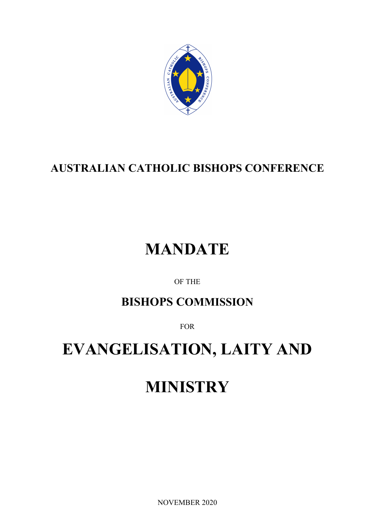

## **AUSTRALIAN CATHOLIC BISHOPS CONFERENCE**

# **MANDATE**

OF THE

### **BISHOPS COMMISSION**

FOR

## **EVANGELISATION, LAITY AND**

# **MINISTRY**

NOVEMBER 2020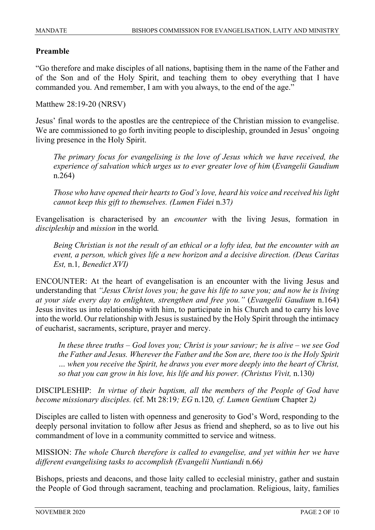#### **Preamble**

"Go therefore and make disciples of all nations, baptising them in the name of the Father and of the Son and of the Holy Spirit, and teaching them to obey everything that I have commanded you. And remember, I am with you always, to the end of the age."

Matthew 28:19-20 (NRSV)

Jesus' final words to the apostles are the centrepiece of the Christian mission to evangelise. We are commissioned to go forth inviting people to discipleship, grounded in Jesus' ongoing living presence in the Holy Spirit.

*The primary focus for evangelising is the love of Jesus which we have received, the experience of salvation which urges us to ever greater love of him* (*Evangelii Gaudium* n.264)

*Those who have opened their hearts to God's love, heard his voice and received his light cannot keep this gift to themselves. (Lumen Fidei* n.37*)*

Evangelisation is characterised by an *encounter* with the living Jesus, formation in *discipleship* and *mission* in the world*.*

*Being Christian is not the result of an ethical or a lofty idea, but the encounter with an event, a person, which gives life a new horizon and a decisive direction. (Deus Caritas Est,* n.1*, Benedict XVI)*

ENCOUNTER: At the heart of evangelisation is an encounter with the living Jesus and understanding that *"Jesus Christ loves you; he gave his life to save you; and now he is living at your side every day to enlighten, strengthen and free you."* (*Evangelii Gaudium* n.164) Jesus invites us into relationship with him, to participate in his Church and to carry his love into the world. Our relationship with Jesus is sustained by the Holy Spirit through the intimacy of eucharist, sacraments, scripture, prayer and mercy.

*In these three truths – God loves you; Christ is your saviour; he is alive – we see God the Father and Jesus. Wherever the Father and the Son are, there too is the Holy Spirit … when you receive the Spirit, he draws you ever more deeply into the heart of Christ, so that you can grow in his love, his life and his power. (Christus Vivit,* n.130*)*

DISCIPLESHIP: *In virtue of their baptism, all the members of the People of God have become missionary disciples. (*cf. Mt 28:19*; EG* n.120*, cf. Lumen Gentium* Chapter 2*)*

Disciples are called to listen with openness and generosity to God's Word, responding to the deeply personal invitation to follow after Jesus as friend and shepherd, so as to live out his commandment of love in a community committed to service and witness.

MISSION: *The whole Church therefore is called to evangelise, and yet within her we have different evangelising tasks to accomplish (Evangelii Nuntiandi* n.66*)*

Bishops, priests and deacons, and those laity called to ecclesial ministry, gather and sustain the People of God through sacrament, teaching and proclamation. Religious, laity, families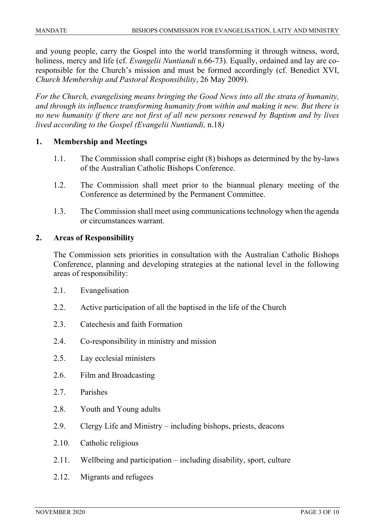and young people, carry the Gospel into the world transforming it through witness, word, holiness, mercy and life (cf. *Evangelii Nuntiandi* n.66-73). Equally, ordained and lay are coresponsible for the Church's mission and must be formed accordingly (cf. Benedict XVI, *Church Membership and Pastoral Responsibility*, 26 May 2009).

*For the Church, evangelising means bringing the Good News into all the strata of humanity, and through its influence transforming humanity from within and making it new. But there is no new humanity if there are not first of all new persons renewed by Baptism and by lives lived according to the Gospel (Evangelii Nuntiandi,* n.18*)*

#### **1. Membership and Meetings**

- 1.1. The Commission shall comprise eight (8) bishops as determined by the by-laws of the Australian Catholic Bishops Conference.
- 1.2. The Commission shall meet prior to the biannual plenary meeting of the Conference as determined by the Permanent Committee.
- 1.3. The Commission shall meet using communications technology when the agenda or circumstances warrant.

#### **2. Areas of Responsibility**

The Commission sets priorities in consultation with the Australian Catholic Bishops Conference, planning and developing strategies at the national level in the following areas of responsibility:

- 2.1. Evangelisation
- 2.2. Active participation of all the baptised in the life of the Church
- 2.3. Catechesis and faith Formation
- 2.4. Co-responsibility in ministry and mission
- 2.5. Lay ecclesial ministers
- 2.6. Film and Broadcasting
- 2.7. Parishes
- 2.8. Youth and Young adults
- 2.9. Clergy Life and Ministry including bishops, priests, deacons
- 2.10. Catholic religious
- 2.11. Wellbeing and participation including disability, sport, culture
- 2.12. Migrants and refugees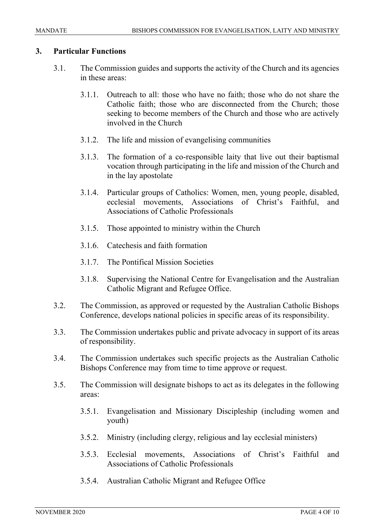#### **3. Particular Functions**

- 3.1. The Commission guides and supports the activity of the Church and its agencies in these areas:
	- 3.1.1. Outreach to all: those who have no faith; those who do not share the Catholic faith; those who are disconnected from the Church; those seeking to become members of the Church and those who are actively involved in the Church
	- 3.1.2. The life and mission of evangelising communities
	- 3.1.3. The formation of a co-responsible laity that live out their baptismal vocation through participating in the life and mission of the Church and in the lay apostolate
	- 3.1.4. Particular groups of Catholics: Women, men, young people, disabled, ecclesial movements, Associations of Christ's Faithful, and Associations of Catholic Professionals
	- 3.1.5. Those appointed to ministry within the Church
	- 3.1.6. Catechesis and faith formation
	- 3.1.7. The Pontifical Mission Societies
	- 3.1.8. Supervising the National Centre for Evangelisation and the Australian Catholic Migrant and Refugee Office.
- 3.2. The Commission, as approved or requested by the Australian Catholic Bishops Conference, develops national policies in specific areas of its responsibility.
- 3.3. The Commission undertakes public and private advocacy in support of its areas of responsibility.
- 3.4. The Commission undertakes such specific projects as the Australian Catholic Bishops Conference may from time to time approve or request.
- 3.5. The Commission will designate bishops to act as its delegates in the following areas:
	- 3.5.1. Evangelisation and Missionary Discipleship (including women and youth)
	- 3.5.2. Ministry (including clergy, religious and lay ecclesial ministers)
	- 3.5.3. Ecclesial movements, Associations of Christ's Faithful and Associations of Catholic Professionals
	- 3.5.4. Australian Catholic Migrant and Refugee Office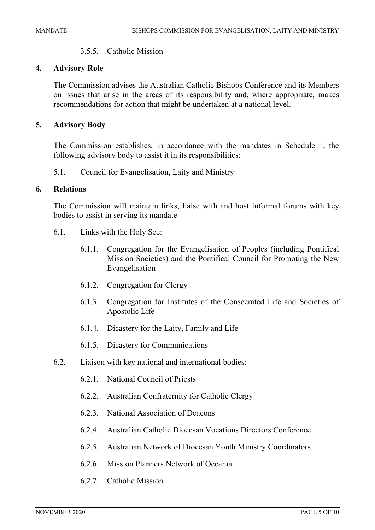#### 3.5.5. Catholic Mission

#### **4. Advisory Role**

The Commission advises the Australian Catholic Bishops Conference and its Members on issues that arise in the areas of its responsibility and, where appropriate, makes recommendations for action that might be undertaken at a national level.

#### **5. Advisory Body**

The Commission establishes, in accordance with the mandates in Schedule 1, the following advisory body to assist it in its responsibilities:

5.1. Council for Evangelisation, Laity and Ministry

#### **6. Relations**

The Commission will maintain links, liaise with and host informal forums with key bodies to assist in serving its mandate

- 6.1. Links with the Holy See:
	- 6.1.1. Congregation for the Evangelisation of Peoples (including Pontifical Mission Societies) and the Pontifical Council for Promoting the New Evangelisation
	- 6.1.2. Congregation for Clergy
	- 6.1.3. Congregation for Institutes of the Consecrated Life and Societies of Apostolic Life
	- 6.1.4. Dicastery for the Laity, Family and Life
	- 6.1.5. Dicastery for Communications
- 6.2. Liaison with key national and international bodies:
	- 6.2.1. National Council of Priests
	- 6.2.2. Australian Confraternity for Catholic Clergy
	- 6.2.3. National Association of Deacons
	- 6.2.4. Australian Catholic Diocesan Vocations Directors Conference
	- 6.2.5. Australian Network of Diocesan Youth Ministry Coordinators
	- 6.2.6. Mission Planners Network of Oceania
	- 6.2.7. Catholic Mission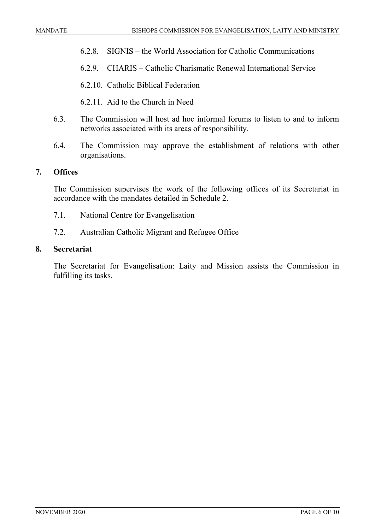- 6.2.8. SIGNIS the World Association for Catholic Communications
- 6.2.9. CHARIS Catholic Charismatic Renewal International Service
- 6.2.10. Catholic Biblical Federation
- 6.2.11. Aid to the Church in Need
- 6.3. The Commission will host ad hoc informal forums to listen to and to inform networks associated with its areas of responsibility.
- 6.4. The Commission may approve the establishment of relations with other organisations.

#### **7. Offices**

The Commission supervises the work of the following offices of its Secretariat in accordance with the mandates detailed in Schedule 2.

- 7.1. National Centre for Evangelisation
- 7.2. Australian Catholic Migrant and Refugee Office

#### **8. Secretariat**

The Secretariat for Evangelisation: Laity and Mission assists the Commission in fulfilling its tasks.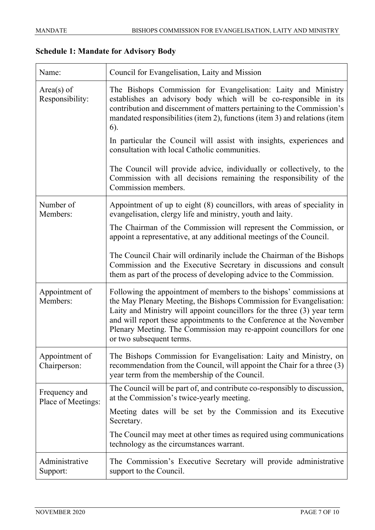### **Schedule 1: Mandate for Advisory Body**

| Name:                               | Council for Evangelisation, Laity and Mission                                                                                                                                                                                                                                                                                                                                                   |
|-------------------------------------|-------------------------------------------------------------------------------------------------------------------------------------------------------------------------------------------------------------------------------------------------------------------------------------------------------------------------------------------------------------------------------------------------|
| $Area(s)$ of<br>Responsibility:     | The Bishops Commission for Evangelisation: Laity and Ministry<br>establishes an advisory body which will be co-responsible in its<br>contribution and discernment of matters pertaining to the Commission's<br>mandated responsibilities (item 2), functions (item 3) and relations (item<br>6).                                                                                                |
|                                     | In particular the Council will assist with insights, experiences and<br>consultation with local Catholic communities.                                                                                                                                                                                                                                                                           |
|                                     | The Council will provide advice, individually or collectively, to the<br>Commission with all decisions remaining the responsibility of the<br>Commission members.                                                                                                                                                                                                                               |
| Number of<br>Members:               | Appointment of up to eight (8) councillors, with areas of speciality in<br>evangelisation, clergy life and ministry, youth and laity.                                                                                                                                                                                                                                                           |
|                                     | The Chairman of the Commission will represent the Commission, or<br>appoint a representative, at any additional meetings of the Council.                                                                                                                                                                                                                                                        |
|                                     | The Council Chair will ordinarily include the Chairman of the Bishops<br>Commission and the Executive Secretary in discussions and consult<br>them as part of the process of developing advice to the Commission.                                                                                                                                                                               |
| Appointment of<br>Members:          | Following the appointment of members to the bishops' commissions at<br>the May Plenary Meeting, the Bishops Commission for Evangelisation:<br>Laity and Ministry will appoint councillors for the three (3) year term<br>and will report these appointments to the Conference at the November<br>Plenary Meeting. The Commission may re-appoint councillors for one<br>or two subsequent terms. |
| Appointment of<br>Chairperson:      | The Bishops Commission for Evangelisation: Laity and Ministry, on<br>recommendation from the Council, will appoint the Chair for a three (3)<br>year term from the membership of the Council.                                                                                                                                                                                                   |
| Frequency and<br>Place of Meetings: | The Council will be part of, and contribute co-responsibly to discussion,<br>at the Commission's twice-yearly meeting.                                                                                                                                                                                                                                                                          |
|                                     | Meeting dates will be set by the Commission and its Executive<br>Secretary.                                                                                                                                                                                                                                                                                                                     |
|                                     | The Council may meet at other times as required using communications<br>technology as the circumstances warrant.                                                                                                                                                                                                                                                                                |
| Administrative<br>Support:          | The Commission's Executive Secretary will provide administrative<br>support to the Council.                                                                                                                                                                                                                                                                                                     |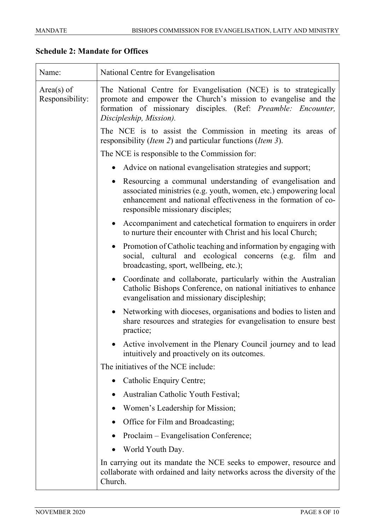### **Schedule 2: Mandate for Offices**

| Name:                           | National Centre for Evangelisation                                                                                                                                                                                                     |
|---------------------------------|----------------------------------------------------------------------------------------------------------------------------------------------------------------------------------------------------------------------------------------|
| $Area(s)$ of<br>Responsibility: | The National Centre for Evangelisation (NCE) is to strategically<br>promote and empower the Church's mission to evangelise and the<br>formation of missionary disciples. (Ref: Preamble: Encounter,<br>Discipleship, Mission).         |
|                                 | The NCE is to assist the Commission in meeting its areas of<br>responsibility ( <i>Item 2</i> ) and particular functions ( <i>Item 3</i> ).                                                                                            |
|                                 | The NCE is responsible to the Commission for:                                                                                                                                                                                          |
|                                 | Advice on national evangelisation strategies and support;                                                                                                                                                                              |
|                                 | • Resourcing a communal understanding of evangelisation and<br>associated ministries (e.g. youth, women, etc.) empowering local<br>enhancement and national effectiveness in the formation of co-<br>responsible missionary disciples; |
|                                 | • Accompaniment and catechetical formation to enquirers in order<br>to nurture their encounter with Christ and his local Church;                                                                                                       |
|                                 | • Promotion of Catholic teaching and information by engaging with<br>social, cultural and ecological concerns (e.g. film and<br>broadcasting, sport, wellbeing, etc.);                                                                 |
|                                 | • Coordinate and collaborate, particularly within the Australian<br>Catholic Bishops Conference, on national initiatives to enhance<br>evangelisation and missionary discipleship;                                                     |
|                                 | Networking with dioceses, organisations and bodies to listen and<br>share resources and strategies for evangelisation to ensure best<br>practice;                                                                                      |
|                                 | Active involvement in the Plenary Council journey and to lead<br>intuitively and proactively on its outcomes.                                                                                                                          |
|                                 | The initiatives of the NCE include:                                                                                                                                                                                                    |
|                                 | Catholic Enquiry Centre;                                                                                                                                                                                                               |
|                                 | Australian Catholic Youth Festival;                                                                                                                                                                                                    |
|                                 | Women's Leadership for Mission;                                                                                                                                                                                                        |
|                                 | Office for Film and Broadcasting;                                                                                                                                                                                                      |
|                                 | Proclaim – Evangelisation Conference;                                                                                                                                                                                                  |
|                                 | World Youth Day.<br>$\bullet$                                                                                                                                                                                                          |
|                                 | In carrying out its mandate the NCE seeks to empower, resource and<br>collaborate with ordained and laity networks across the diversity of the<br>Church.                                                                              |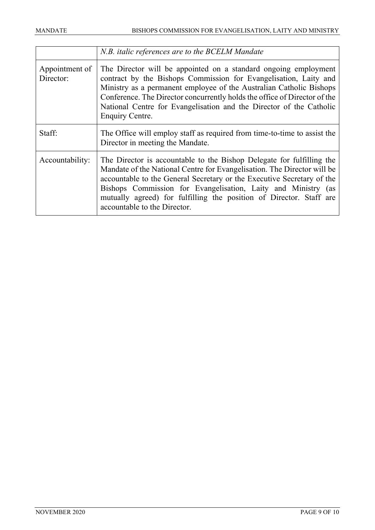|                             | N.B. italic references are to the BCELM Mandate                                                                                                                                                                                                                                                                                                                                                    |
|-----------------------------|----------------------------------------------------------------------------------------------------------------------------------------------------------------------------------------------------------------------------------------------------------------------------------------------------------------------------------------------------------------------------------------------------|
| Appointment of<br>Director: | The Director will be appointed on a standard ongoing employment<br>contract by the Bishops Commission for Evangelisation, Laity and<br>Ministry as a permanent employee of the Australian Catholic Bishops<br>Conference. The Director concurrently holds the office of Director of the<br>National Centre for Evangelisation and the Director of the Catholic<br>Enquiry Centre.                  |
| Staff:                      | The Office will employ staff as required from time-to-time to assist the<br>Director in meeting the Mandate.                                                                                                                                                                                                                                                                                       |
| Accountability:             | The Director is accountable to the Bishop Delegate for fulfilling the<br>Mandate of the National Centre for Evangelisation. The Director will be<br>accountable to the General Secretary or the Executive Secretary of the<br>Bishops Commission for Evangelisation, Laity and Ministry (as<br>mutually agreed) for fulfilling the position of Director. Staff are<br>accountable to the Director. |